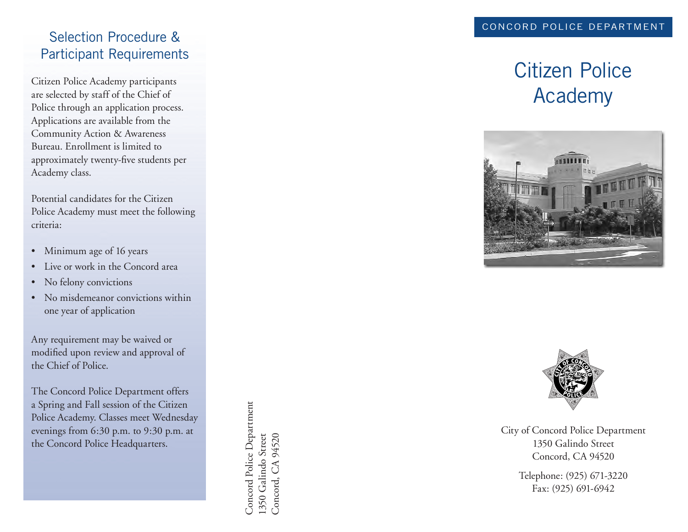## Selection Procedure & Participant Requirements

Citizen Police Academy participants are selected by staff of the Chief of Police through an application process. Appli cations are available from the Community Action & Awareness Bureau. Enrollment is limited to approximately twenty-five students per Academy class.

Potential candidates for the Citizen Police Academy must meet the following criteria:

- Minimum age of 16 years
- Live or work in the Concord area
- No felony convictions
- No misdemeanor convictions within one year of application

Any requirement may be waived or modified upon review and approval of the Chief of Police.

The Concord Police Department offers a Spring and Fall session of the Citizen Police Academy. Classes meet Wednesday evenings from 6:30 p.m. to 9:30 p.m. at the Concord Police Headquarters.

Concord Police Department Concord Police Department 1350 Galindo Street Concord, CA 94520 1350 Galindo Street Concord, CA 94520

# Citizen Police Academy





City of Concord Police Department 1350 Galindo Street Concord, CA 94520

> Telephone: (925) 671-3220 Fax: (925) 691-6942